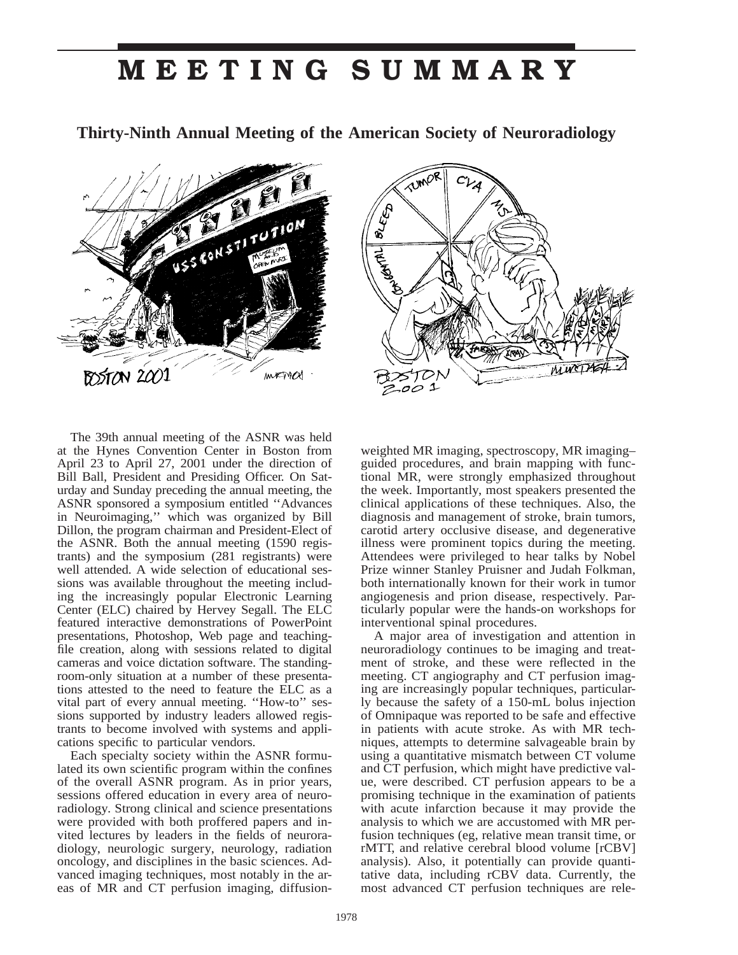## **MEETING SUMMARY**

**Thirty-Ninth Annual Meeting of the American Society of Neuroradiology**





The 39th annual meeting of the ASNR was held at the Hynes Convention Center in Boston from April 23 to April 27, 2001 under the direction of Bill Ball, President and Presiding Officer. On Saturday and Sunday preceding the annual meeting, the ASNR sponsored a symposium entitled ''Advances in Neuroimaging,'' which was organized by Bill Dillon, the program chairman and President-Elect of the ASNR. Both the annual meeting (1590 registrants) and the symposium (281 registrants) were well attended. A wide selection of educational sessions was available throughout the meeting including the increasingly popular Electronic Learning Center (ELC) chaired by Hervey Segall. The ELC featured interactive demonstrations of PowerPoint presentations, Photoshop, Web page and teachingfile creation, along with sessions related to digital cameras and voice dictation software. The standingroom-only situation at a number of these presentations attested to the need to feature the ELC as a vital part of every annual meeting. ''How-to'' sessions supported by industry leaders allowed registrants to become involved with systems and applications specific to particular vendors.

Each specialty society within the ASNR formulated its own scientific program within the confines of the overall ASNR program. As in prior years, sessions offered education in every area of neuroradiology. Strong clinical and science presentations were provided with both proffered papers and invited lectures by leaders in the fields of neuroradiology, neurologic surgery, neurology, radiation oncology, and disciplines in the basic sciences. Advanced imaging techniques, most notably in the areas of MR and CT perfusion imaging, diffusionweighted MR imaging, spectroscopy, MR imaging– guided procedures, and brain mapping with functional MR, were strongly emphasized throughout the week. Importantly, most speakers presented the clinical applications of these techniques. Also, the diagnosis and management of stroke, brain tumors, carotid artery occlusive disease, and degenerative illness were prominent topics during the meeting. Attendees were privileged to hear talks by Nobel Prize winner Stanley Pruisner and Judah Folkman, both internationally known for their work in tumor angiogenesis and prion disease, respectively. Particularly popular were the hands-on workshops for interventional spinal procedures.

A major area of investigation and attention in neuroradiology continues to be imaging and treatment of stroke, and these were reflected in the meeting. CT angiography and CT perfusion imaging are increasingly popular techniques, particularly because the safety of a 150-mL bolus injection of Omnipaque was reported to be safe and effective in patients with acute stroke. As with MR techniques, attempts to determine salvageable brain by using a quantitative mismatch between CT volume and CT perfusion, which might have predictive value, were described. CT perfusion appears to be a promising technique in the examination of patients with acute infarction because it may provide the analysis to which we are accustomed with MR perfusion techniques (eg, relative mean transit time, or rMTT, and relative cerebral blood volume [rCBV] analysis). Also, it potentially can provide quantitative data, including rCBV data. Currently, the most advanced CT perfusion techniques are rele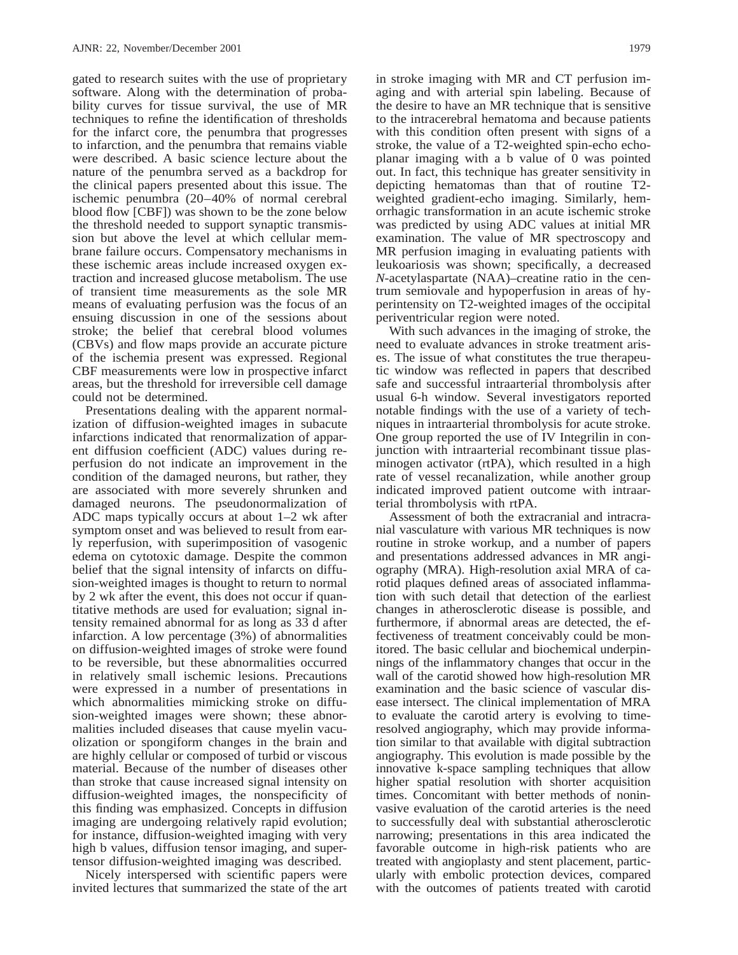gated to research suites with the use of proprietary software. Along with the determination of probability curves for tissue survival, the use of MR techniques to refine the identification of thresholds for the infarct core, the penumbra that progresses to infarction, and the penumbra that remains viable were described. A basic science lecture about the nature of the penumbra served as a backdrop for the clinical papers presented about this issue. The ischemic penumbra (20–40% of normal cerebral blood flow [CBF]) was shown to be the zone below the threshold needed to support synaptic transmission but above the level at which cellular membrane failure occurs. Compensatory mechanisms in these ischemic areas include increased oxygen extraction and increased glucose metabolism. The use of transient time measurements as the sole MR means of evaluating perfusion was the focus of an ensuing discussion in one of the sessions about stroke; the belief that cerebral blood volumes (CBVs) and flow maps provide an accurate picture of the ischemia present was expressed. Regional CBF measurements were low in prospective infarct areas, but the threshold for irreversible cell damage could not be determined.

Presentations dealing with the apparent normalization of diffusion-weighted images in subacute infarctions indicated that renormalization of apparent diffusion coefficient (ADC) values during reperfusion do not indicate an improvement in the condition of the damaged neurons, but rather, they are associated with more severely shrunken and damaged neurons. The pseudonormalization of ADC maps typically occurs at about 1–2 wk after symptom onset and was believed to result from early reperfusion, with superimposition of vasogenic edema on cytotoxic damage. Despite the common belief that the signal intensity of infarcts on diffusion-weighted images is thought to return to normal by 2 wk after the event, this does not occur if quantitative methods are used for evaluation; signal intensity remained abnormal for as long as 33 d after infarction. A low percentage (3%) of abnormalities on diffusion-weighted images of stroke were found to be reversible, but these abnormalities occurred in relatively small ischemic lesions. Precautions were expressed in a number of presentations in which abnormalities mimicking stroke on diffusion-weighted images were shown; these abnormalities included diseases that cause myelin vacuolization or spongiform changes in the brain and are highly cellular or composed of turbid or viscous material. Because of the number of diseases other than stroke that cause increased signal intensity on diffusion-weighted images, the nonspecificity of this finding was emphasized. Concepts in diffusion imaging are undergoing relatively rapid evolution; for instance, diffusion-weighted imaging with very high b values, diffusion tensor imaging, and supertensor diffusion-weighted imaging was described.

Nicely interspersed with scientific papers were invited lectures that summarized the state of the art

in stroke imaging with MR and CT perfusion imaging and with arterial spin labeling. Because of the desire to have an MR technique that is sensitive to the intracerebral hematoma and because patients with this condition often present with signs of a stroke, the value of a T2-weighted spin-echo echoplanar imaging with a b value of 0 was pointed out. In fact, this technique has greater sensitivity in depicting hematomas than that of routine T2 weighted gradient-echo imaging. Similarly, hemorrhagic transformation in an acute ischemic stroke was predicted by using ADC values at initial MR examination. The value of MR spectroscopy and MR perfusion imaging in evaluating patients with leukoariosis was shown; specifically, a decreased *N*-acetylaspartate (NAA)–creatine ratio in the centrum semiovale and hypoperfusion in areas of hyperintensity on T2-weighted images of the occipital periventricular region were noted.

With such advances in the imaging of stroke, the need to evaluate advances in stroke treatment arises. The issue of what constitutes the true therapeutic window was reflected in papers that described safe and successful intraarterial thrombolysis after usual 6-h window. Several investigators reported notable findings with the use of a variety of techniques in intraarterial thrombolysis for acute stroke. One group reported the use of IV Integrilin in conjunction with intraarterial recombinant tissue plasminogen activator (rtPA), which resulted in a high rate of vessel recanalization, while another group indicated improved patient outcome with intraarterial thrombolysis with rtPA.

Assessment of both the extracranial and intracranial vasculature with various MR techniques is now routine in stroke workup, and a number of papers and presentations addressed advances in MR angiography (MRA). High-resolution axial MRA of carotid plaques defined areas of associated inflammation with such detail that detection of the earliest changes in atherosclerotic disease is possible, and furthermore, if abnormal areas are detected, the effectiveness of treatment conceivably could be monitored. The basic cellular and biochemical underpinnings of the inflammatory changes that occur in the wall of the carotid showed how high-resolution MR examination and the basic science of vascular disease intersect. The clinical implementation of MRA to evaluate the carotid artery is evolving to timeresolved angiography, which may provide information similar to that available with digital subtraction angiography. This evolution is made possible by the innovative k-space sampling techniques that allow higher spatial resolution with shorter acquisition times. Concomitant with better methods of noninvasive evaluation of the carotid arteries is the need to successfully deal with substantial atherosclerotic narrowing; presentations in this area indicated the favorable outcome in high-risk patients who are treated with angioplasty and stent placement, particularly with embolic protection devices, compared with the outcomes of patients treated with carotid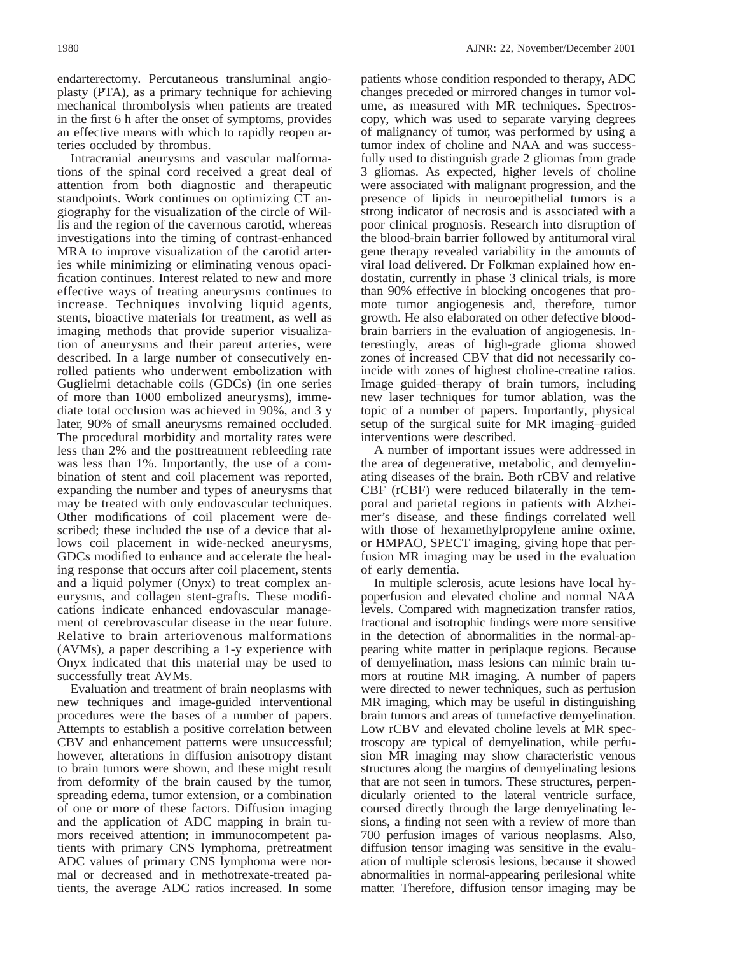endarterectomy. Percutaneous transluminal angioplasty (PTA), as a primary technique for achieving mechanical thrombolysis when patients are treated in the first 6 h after the onset of symptoms, provides an effective means with which to rapidly reopen arteries occluded by thrombus.

Intracranial aneurysms and vascular malformations of the spinal cord received a great deal of attention from both diagnostic and therapeutic standpoints. Work continues on optimizing CT angiography for the visualization of the circle of Willis and the region of the cavernous carotid, whereas investigations into the timing of contrast-enhanced MRA to improve visualization of the carotid arteries while minimizing or eliminating venous opacification continues. Interest related to new and more effective ways of treating aneurysms continues to increase. Techniques involving liquid agents, stents, bioactive materials for treatment, as well as imaging methods that provide superior visualization of aneurysms and their parent arteries, were described. In a large number of consecutively enrolled patients who underwent embolization with Guglielmi detachable coils (GDCs) (in one series of more than 1000 embolized aneurysms), immediate total occlusion was achieved in 90%, and 3 y later, 90% of small aneurysms remained occluded. The procedural morbidity and mortality rates were less than 2% and the posttreatment rebleeding rate was less than 1%. Importantly, the use of a combination of stent and coil placement was reported, expanding the number and types of aneurysms that may be treated with only endovascular techniques. Other modifications of coil placement were described; these included the use of a device that allows coil placement in wide-necked aneurysms, GDCs modified to enhance and accelerate the healing response that occurs after coil placement, stents and a liquid polymer (Onyx) to treat complex aneurysms, and collagen stent-grafts. These modifications indicate enhanced endovascular management of cerebrovascular disease in the near future. Relative to brain arteriovenous malformations (AVMs), a paper describing a 1-y experience with Onyx indicated that this material may be used to successfully treat AVMs.

Evaluation and treatment of brain neoplasms with new techniques and image-guided interventional procedures were the bases of a number of papers. Attempts to establish a positive correlation between CBV and enhancement patterns were unsuccessful; however, alterations in diffusion anisotropy distant to brain tumors were shown, and these might result from deformity of the brain caused by the tumor, spreading edema, tumor extension, or a combination of one or more of these factors. Diffusion imaging and the application of ADC mapping in brain tumors received attention; in immunocompetent patients with primary CNS lymphoma, pretreatment ADC values of primary CNS lymphoma were normal or decreased and in methotrexate-treated patients, the average ADC ratios increased. In some

patients whose condition responded to therapy, ADC changes preceded or mirrored changes in tumor volume, as measured with MR techniques. Spectroscopy, which was used to separate varying degrees of malignancy of tumor, was performed by using a tumor index of choline and NAA and was successfully used to distinguish grade 2 gliomas from grade 3 gliomas. As expected, higher levels of choline were associated with malignant progression, and the presence of lipids in neuroepithelial tumors is a strong indicator of necrosis and is associated with a poor clinical prognosis. Research into disruption of the blood-brain barrier followed by antitumoral viral gene therapy revealed variability in the amounts of viral load delivered. Dr Folkman explained how endostatin, currently in phase 3 clinical trials, is more than 90% effective in blocking oncogenes that promote tumor angiogenesis and, therefore, tumor growth. He also elaborated on other defective bloodbrain barriers in the evaluation of angiogenesis. Interestingly, areas of high-grade glioma showed zones of increased CBV that did not necessarily coincide with zones of highest choline-creatine ratios. Image guided–therapy of brain tumors, including new laser techniques for tumor ablation, was the topic of a number of papers. Importantly, physical setup of the surgical suite for MR imaging–guided interventions were described.

A number of important issues were addressed in the area of degenerative, metabolic, and demyelinating diseases of the brain. Both rCBV and relative CBF (rCBF) were reduced bilaterally in the temporal and parietal regions in patients with Alzheimer's disease, and these findings correlated well with those of hexamethylpropylene amine oxime, or HMPAO, SPECT imaging, giving hope that perfusion MR imaging may be used in the evaluation of early dementia.

In multiple sclerosis, acute lesions have local hypoperfusion and elevated choline and normal NAA levels. Compared with magnetization transfer ratios, fractional and isotrophic findings were more sensitive in the detection of abnormalities in the normal-appearing white matter in periplaque regions. Because of demyelination, mass lesions can mimic brain tumors at routine MR imaging. A number of papers were directed to newer techniques, such as perfusion MR imaging, which may be useful in distinguishing brain tumors and areas of tumefactive demyelination. Low rCBV and elevated choline levels at MR spectroscopy are typical of demyelination, while perfusion MR imaging may show characteristic venous structures along the margins of demyelinating lesions that are not seen in tumors. These structures, perpendicularly oriented to the lateral ventricle surface, coursed directly through the large demyelinating lesions, a finding not seen with a review of more than 700 perfusion images of various neoplasms. Also, diffusion tensor imaging was sensitive in the evaluation of multiple sclerosis lesions, because it showed abnormalities in normal-appearing perilesional white matter. Therefore, diffusion tensor imaging may be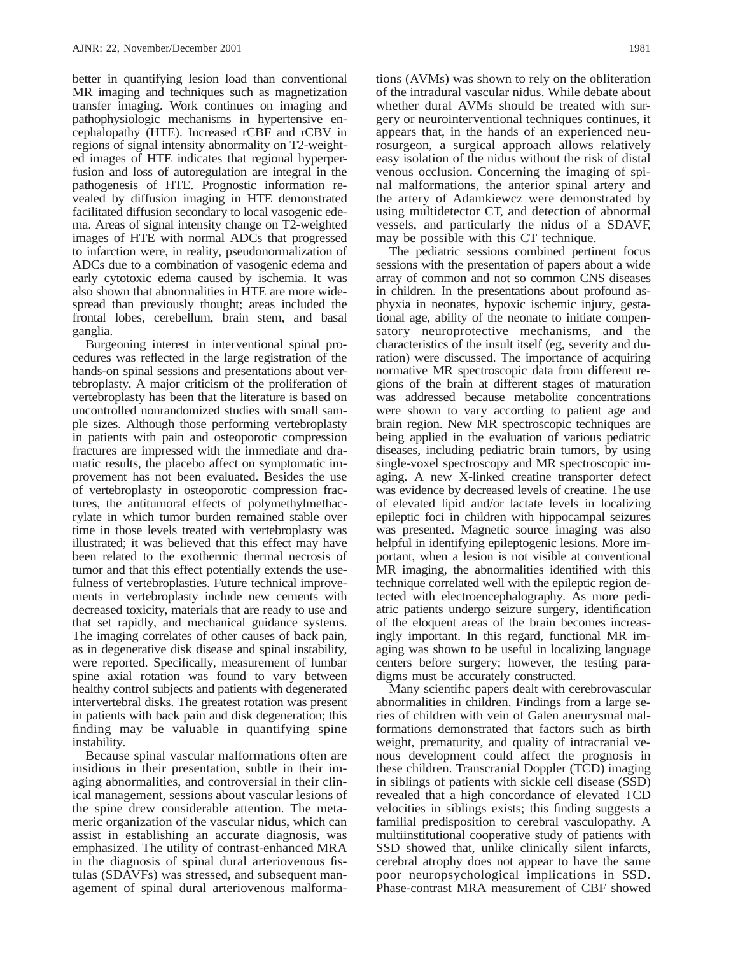better in quantifying lesion load than conventional MR imaging and techniques such as magnetization transfer imaging. Work continues on imaging and pathophysiologic mechanisms in hypertensive encephalopathy (HTE). Increased rCBF and rCBV in regions of signal intensity abnormality on T2-weighted images of HTE indicates that regional hyperperfusion and loss of autoregulation are integral in the pathogenesis of HTE. Prognostic information revealed by diffusion imaging in HTE demonstrated facilitated diffusion secondary to local vasogenic edema. Areas of signal intensity change on T2-weighted images of HTE with normal ADCs that progressed to infarction were, in reality, pseudonormalization of ADCs due to a combination of vasogenic edema and early cytotoxic edema caused by ischemia. It was also shown that abnormalities in HTE are more widespread than previously thought; areas included the frontal lobes, cerebellum, brain stem, and basal ganglia.

Burgeoning interest in interventional spinal procedures was reflected in the large registration of the hands-on spinal sessions and presentations about vertebroplasty. A major criticism of the proliferation of vertebroplasty has been that the literature is based on uncontrolled nonrandomized studies with small sample sizes. Although those performing vertebroplasty in patients with pain and osteoporotic compression fractures are impressed with the immediate and dramatic results, the placebo affect on symptomatic improvement has not been evaluated. Besides the use of vertebroplasty in osteoporotic compression fractures, the antitumoral effects of polymethylmethacrylate in which tumor burden remained stable over time in those levels treated with vertebroplasty was illustrated; it was believed that this effect may have been related to the exothermic thermal necrosis of tumor and that this effect potentially extends the usefulness of vertebroplasties. Future technical improvements in vertebroplasty include new cements with decreased toxicity, materials that are ready to use and that set rapidly, and mechanical guidance systems. The imaging correlates of other causes of back pain, as in degenerative disk disease and spinal instability, were reported. Specifically, measurement of lumbar spine axial rotation was found to vary between healthy control subjects and patients with degenerated intervertebral disks. The greatest rotation was present in patients with back pain and disk degeneration; this finding may be valuable in quantifying spine instability.

Because spinal vascular malformations often are insidious in their presentation, subtle in their imaging abnormalities, and controversial in their clinical management, sessions about vascular lesions of the spine drew considerable attention. The metameric organization of the vascular nidus, which can assist in establishing an accurate diagnosis, was emphasized. The utility of contrast-enhanced MRA in the diagnosis of spinal dural arteriovenous fistulas (SDAVFs) was stressed, and subsequent management of spinal dural arteriovenous malforma-

tions (AVMs) was shown to rely on the obliteration of the intradural vascular nidus. While debate about whether dural AVMs should be treated with surgery or neurointerventional techniques continues, it appears that, in the hands of an experienced neurosurgeon, a surgical approach allows relatively easy isolation of the nidus without the risk of distal venous occlusion. Concerning the imaging of spinal malformations, the anterior spinal artery and the artery of Adamkiewcz were demonstrated by using multidetector CT, and detection of abnormal vessels, and particularly the nidus of a SDAVF, may be possible with this CT technique.

The pediatric sessions combined pertinent focus sessions with the presentation of papers about a wide array of common and not so common CNS diseases in children. In the presentations about profound asphyxia in neonates, hypoxic ischemic injury, gestational age, ability of the neonate to initiate compensatory neuroprotective mechanisms, and the characteristics of the insult itself (eg, severity and duration) were discussed. The importance of acquiring normative MR spectroscopic data from different regions of the brain at different stages of maturation was addressed because metabolite concentrations were shown to vary according to patient age and brain region. New MR spectroscopic techniques are being applied in the evaluation of various pediatric diseases, including pediatric brain tumors, by using single-voxel spectroscopy and MR spectroscopic imaging. A new X-linked creatine transporter defect was evidence by decreased levels of creatine. The use of elevated lipid and/or lactate levels in localizing epileptic foci in children with hippocampal seizures was presented. Magnetic source imaging was also helpful in identifying epileptogenic lesions. More important, when a lesion is not visible at conventional MR imaging, the abnormalities identified with this technique correlated well with the epileptic region detected with electroencephalography. As more pediatric patients undergo seizure surgery, identification of the eloquent areas of the brain becomes increasingly important. In this regard, functional MR imaging was shown to be useful in localizing language centers before surgery; however, the testing paradigms must be accurately constructed.

Many scientific papers dealt with cerebrovascular abnormalities in children. Findings from a large series of children with vein of Galen aneurysmal malformations demonstrated that factors such as birth weight, prematurity, and quality of intracranial venous development could affect the prognosis in these children. Transcranial Doppler (TCD) imaging in siblings of patients with sickle cell disease (SSD) revealed that a high concordance of elevated TCD velocities in siblings exists; this finding suggests a familial predisposition to cerebral vasculopathy. A multiinstitutional cooperative study of patients with SSD showed that, unlike clinically silent infarcts, cerebral atrophy does not appear to have the same poor neuropsychological implications in SSD. Phase-contrast MRA measurement of CBF showed